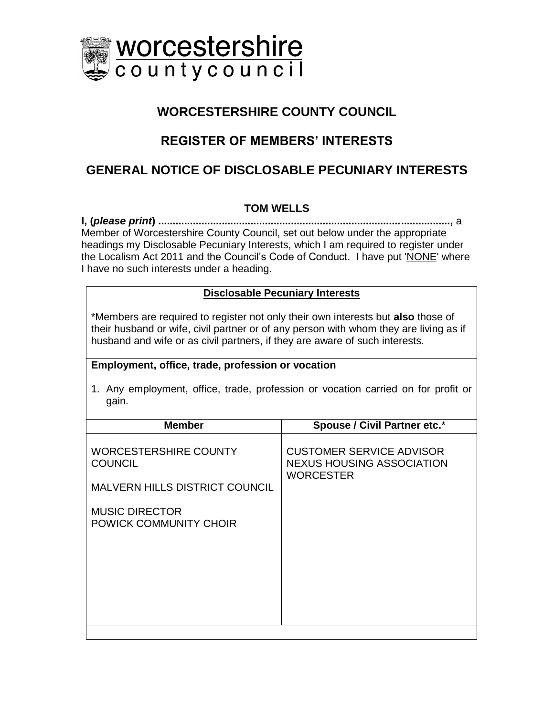

## **WORCESTERSHIRE COUNTY COUNCIL**

# **REGISTER OF MEMBERS' INTERESTS**

## **GENERAL NOTICE OF DISCLOSABLE PECUNIARY INTERESTS**

## **TOM WELLS**

**I, (***please print***) .....................................................................................................,** a Member of Worcestershire County Council, set out below under the appropriate headings my Disclosable Pecuniary Interests, which I am required to register under the Localism Act 2011 and the Council's Code of Conduct. I have put 'NONE' where I have no such interests under a heading.

### **Disclosable Pecuniary Interests**

\*Members are required to register not only their own interests but **also** those of their husband or wife, civil partner or of any person with whom they are living as if husband and wife or as civil partners, if they are aware of such interests.

### **Employment, office, trade, profession or vocation**

1. Any employment, office, trade, profession or vocation carried on for profit or gain.

| <b>Member</b>                                                                           | <b>Spouse / Civil Partner etc.*</b>                                                     |
|-----------------------------------------------------------------------------------------|-----------------------------------------------------------------------------------------|
| <b>WORCESTERSHIRE COUNTY</b><br><b>COUNCIL</b><br><b>MALVERN HILLS DISTRICT COUNCIL</b> | <b>CUSTOMER SERVICE ADVISOR</b><br><b>NEXUS HOUSING ASSOCIATION</b><br><b>WORCESTER</b> |
| <b>MUSIC DIRECTOR</b><br>POWICK COMMUNITY CHOIR                                         |                                                                                         |
|                                                                                         |                                                                                         |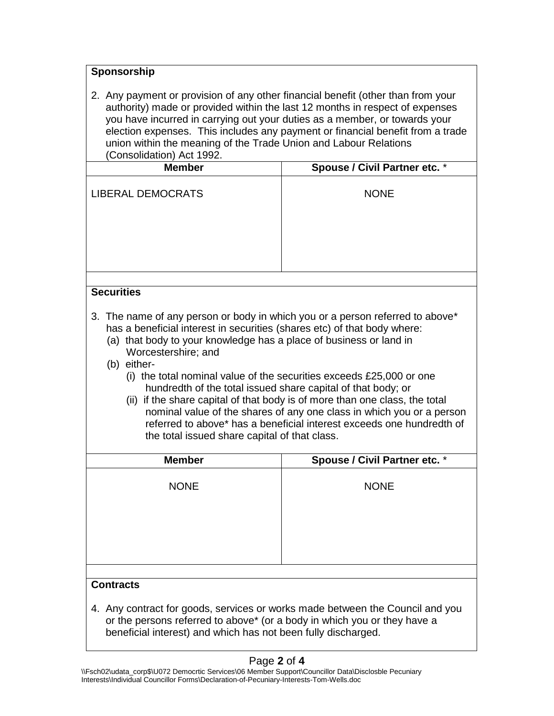| Sponsorship                                                                                                                                                                                                                                                                                                                                                                                                                                                                                                                                                                                                                                                                                       |                               |  |
|---------------------------------------------------------------------------------------------------------------------------------------------------------------------------------------------------------------------------------------------------------------------------------------------------------------------------------------------------------------------------------------------------------------------------------------------------------------------------------------------------------------------------------------------------------------------------------------------------------------------------------------------------------------------------------------------------|-------------------------------|--|
| 2. Any payment or provision of any other financial benefit (other than from your<br>authority) made or provided within the last 12 months in respect of expenses<br>you have incurred in carrying out your duties as a member, or towards your<br>election expenses. This includes any payment or financial benefit from a trade<br>union within the meaning of the Trade Union and Labour Relations<br>(Consolidation) Act 1992.                                                                                                                                                                                                                                                                 |                               |  |
| <b>Member</b>                                                                                                                                                                                                                                                                                                                                                                                                                                                                                                                                                                                                                                                                                     | Spouse / Civil Partner etc. * |  |
| <b>LIBERAL DEMOCRATS</b>                                                                                                                                                                                                                                                                                                                                                                                                                                                                                                                                                                                                                                                                          | <b>NONE</b>                   |  |
|                                                                                                                                                                                                                                                                                                                                                                                                                                                                                                                                                                                                                                                                                                   |                               |  |
| <b>Securities</b>                                                                                                                                                                                                                                                                                                                                                                                                                                                                                                                                                                                                                                                                                 |                               |  |
| 3. The name of any person or body in which you or a person referred to above*<br>has a beneficial interest in securities (shares etc) of that body where:<br>(a) that body to your knowledge has a place of business or land in<br>Worcestershire; and<br>(b) either-<br>(i) the total nominal value of the securities exceeds $£25,000$ or one<br>hundredth of the total issued share capital of that body; or<br>(ii) if the share capital of that body is of more than one class, the total<br>nominal value of the shares of any one class in which you or a person<br>referred to above* has a beneficial interest exceeds one hundredth of<br>the total issued share capital of that class. |                               |  |
| <b>Member</b>                                                                                                                                                                                                                                                                                                                                                                                                                                                                                                                                                                                                                                                                                     | Spouse / Civil Partner etc. * |  |
| <b>NONE</b>                                                                                                                                                                                                                                                                                                                                                                                                                                                                                                                                                                                                                                                                                       | <b>NONE</b>                   |  |
|                                                                                                                                                                                                                                                                                                                                                                                                                                                                                                                                                                                                                                                                                                   |                               |  |
| <b>Contracts</b>                                                                                                                                                                                                                                                                                                                                                                                                                                                                                                                                                                                                                                                                                  |                               |  |
| 4. Any contract for goods, services or works made between the Council and you<br>or the persons referred to above* (or a body in which you or they have a<br>beneficial interest) and which has not been fully discharged.                                                                                                                                                                                                                                                                                                                                                                                                                                                                        |                               |  |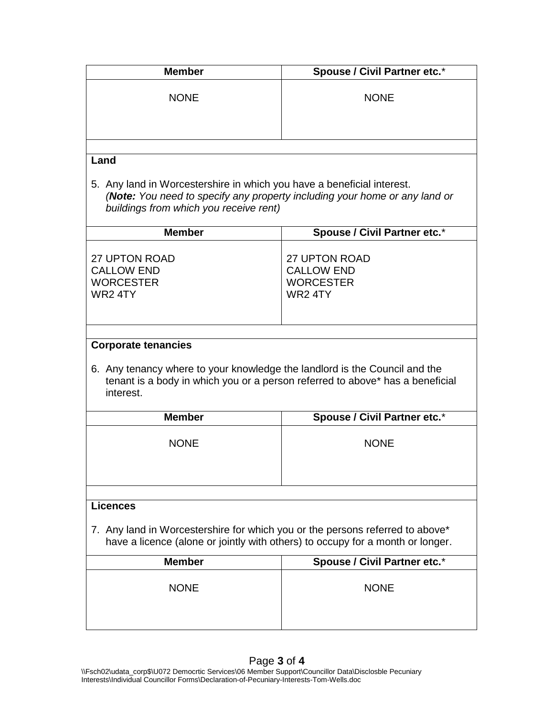| <b>Member</b>                                                                                                                                                                                          | <b>Spouse / Civil Partner etc.*</b>                                     |  |
|--------------------------------------------------------------------------------------------------------------------------------------------------------------------------------------------------------|-------------------------------------------------------------------------|--|
| <b>NONE</b>                                                                                                                                                                                            | <b>NONE</b>                                                             |  |
|                                                                                                                                                                                                        |                                                                         |  |
| Land<br>5. Any land in Worcestershire in which you have a beneficial interest.<br>(Note: You need to specify any property including your home or any land or<br>buildings from which you receive rent) |                                                                         |  |
| <b>Member</b>                                                                                                                                                                                          | <b>Spouse / Civil Partner etc.*</b>                                     |  |
| <b>27 UPTON ROAD</b><br><b>CALLOW END</b><br><b>WORCESTER</b><br>WR24TY                                                                                                                                | <b>27 UPTON ROAD</b><br><b>CALLOW END</b><br><b>WORCESTER</b><br>WR24TY |  |
| <b>Corporate tenancies</b><br>6. Any tenancy where to your knowledge the landlord is the Council and the<br>tenant is a body in which you or a person referred to above* has a beneficial<br>interest. |                                                                         |  |
| <b>Member</b>                                                                                                                                                                                          | <b>Spouse / Civil Partner etc.*</b>                                     |  |
| <b>NONE</b>                                                                                                                                                                                            | <b>NONE</b>                                                             |  |
| <b>Licences</b>                                                                                                                                                                                        |                                                                         |  |
| 7. Any land in Worcestershire for which you or the persons referred to above*<br>have a licence (alone or jointly with others) to occupy for a month or longer.                                        |                                                                         |  |
| <b>Member</b>                                                                                                                                                                                          | Spouse / Civil Partner etc.*                                            |  |
| <b>NONE</b>                                                                                                                                                                                            | <b>NONE</b>                                                             |  |